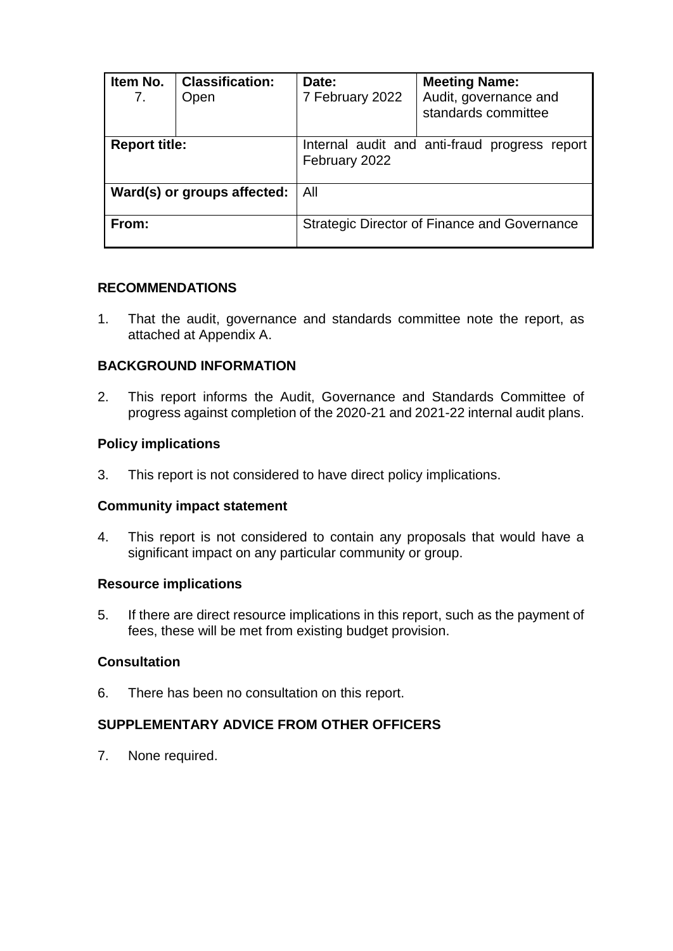| Item No.<br>7.              | <b>Classification:</b><br>Open | Date:<br>7 February 2022                                       | <b>Meeting Name:</b><br>Audit, governance and<br>standards committee |
|-----------------------------|--------------------------------|----------------------------------------------------------------|----------------------------------------------------------------------|
| <b>Report title:</b>        |                                | Internal audit and anti-fraud progress report<br>February 2022 |                                                                      |
| Ward(s) or groups affected: |                                | All                                                            |                                                                      |
| From:                       |                                | <b>Strategic Director of Finance and Governance</b>            |                                                                      |

## **RECOMMENDATIONS**

1. That the audit, governance and standards committee note the report, as attached at Appendix A.

## **BACKGROUND INFORMATION**

2. This report informs the Audit, Governance and Standards Committee of progress against completion of the 2020-21 and 2021-22 internal audit plans.

### **Policy implications**

3. This report is not considered to have direct policy implications.

#### **Community impact statement**

4. This report is not considered to contain any proposals that would have a significant impact on any particular community or group.

#### **Resource implications**

5. If there are direct resource implications in this report, such as the payment of fees, these will be met from existing budget provision.

### **Consultation**

6. There has been no consultation on this report.

## **SUPPLEMENTARY ADVICE FROM OTHER OFFICERS**

7. None required.